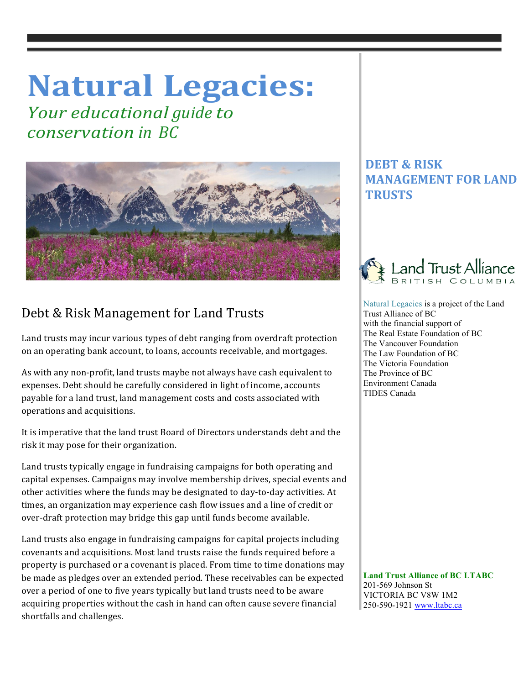## **Natural Legacies:**

*Your educational guide to conservation in BC*



## Debt & Risk Management for Land Trusts

Land trusts may incur various types of debt ranging from overdraft protection on an operating bank account, to loans, accounts receivable, and mortgages.

As with any non-profit, land trusts maybe not always have cash equivalent to expenses. Debt should be carefully considered in light of income, accounts payable for a land trust, land management costs and costs associated with operations and acquisitions.

It is imperative that the land trust Board of Directors understands debt and the risk it may pose for their organization.

Land trusts typically engage in fundraising campaigns for both operating and capital expenses. Campaigns may involve membership drives, special events and other activities where the funds may be designated to day-to-day activities. At times, an organization may experience cash flow issues and a line of credit or over-draft protection may bridge this gap until funds become available.

Land trusts also engage in fundraising campaigns for capital projects including covenants and acquisitions. Most land trusts raise the funds required before a property is purchased or a covenant is placed. From time to time donations may be made as pledges over an extended period. These receivables can be expected over a period of one to five years typically but land trusts need to be aware acquiring properties without the cash in hand can often cause severe financial shortfalls and challenges.

## **DEBT & RISK MANAGEMENT FOR LAND TRUSTS**



 Natural Legacies is a project of the Land Trust Alliance of BC with the financial support of The Real Estate Foundation of BC The Vancouver Foundation The Law Foundation of BC The Victoria Foundation The Province of BC Environment Canada TIDES Canada

 **Land Trust Alliance of BC LTABC** 201-569 Johnson St VICTORIA BC V8W 1M2 250-590-1921 www.ltabc.ca